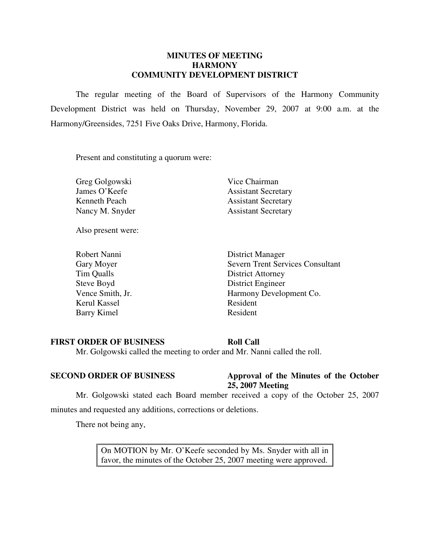### **MINUTES OF MEETING HARMONY COMMUNITY DEVELOPMENT DISTRICT**

 The regular meeting of the Board of Supervisors of the Harmony Community Development District was held on Thursday, November 29, 2007 at 9:00 a.m. at the Harmony/Greensides, 7251 Five Oaks Drive, Harmony, Florida.

Present and constituting a quorum were:

Greg Golgowski Vice Chairman

Also present were:

Kerul Kassel Resident Barry Kimel Resident

James O'Keefe Assistant Secretary Kenneth Peach Assistant Secretary Nancy M. Snyder Assistant Secretary

 Robert Nanni District Manager Gary Moyer Severn Trent Services Consultant Tim Qualls District Attorney Steve Boyd District Engineer Vence Smith, Jr. Harmony Development Co.

### **FIRST ORDER OF BUSINESS Roll Call**

Mr. Golgowski called the meeting to order and Mr. Nanni called the roll.

### **SECOND ORDER OF BUSINESS Approval of the Minutes of the October 25, 2007 Meeting**

 Mr. Golgowski stated each Board member received a copy of the October 25, 2007 minutes and requested any additions, corrections or deletions.

There not being any,

On MOTION by Mr. O'Keefe seconded by Ms. Snyder with all in favor, the minutes of the October 25, 2007 meeting were approved.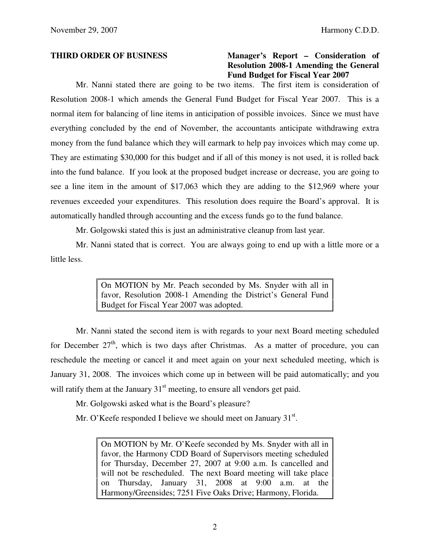## **THIRD ORDER OF BUSINESS Manager's Report – Consideration of Resolution 2008-1 Amending the General Fund Budget for Fiscal Year 2007**

 Mr. Nanni stated there are going to be two items. The first item is consideration of Resolution 2008-1 which amends the General Fund Budget for Fiscal Year 2007. This is a normal item for balancing of line items in anticipation of possible invoices. Since we must have everything concluded by the end of November, the accountants anticipate withdrawing extra money from the fund balance which they will earmark to help pay invoices which may come up. They are estimating \$30,000 for this budget and if all of this money is not used, it is rolled back into the fund balance. If you look at the proposed budget increase or decrease, you are going to see a line item in the amount of \$17,063 which they are adding to the \$12,969 where your revenues exceeded your expenditures. This resolution does require the Board's approval. It is automatically handled through accounting and the excess funds go to the fund balance.

Mr. Golgowski stated this is just an administrative cleanup from last year.

 Mr. Nanni stated that is correct. You are always going to end up with a little more or a little less.

> On MOTION by Mr. Peach seconded by Ms. Snyder with all in favor, Resolution 2008-1 Amending the District's General Fund Budget for Fiscal Year 2007 was adopted.

 Mr. Nanni stated the second item is with regards to your next Board meeting scheduled for December  $27<sup>th</sup>$ , which is two days after Christmas. As a matter of procedure, you can reschedule the meeting or cancel it and meet again on your next scheduled meeting, which is January 31, 2008. The invoices which come up in between will be paid automatically; and you will ratify them at the January  $31<sup>st</sup>$  meeting, to ensure all vendors get paid.

Mr. Golgowski asked what is the Board's pleasure?

Mr. O'Keefe responded I believe we should meet on January 31<sup>st</sup>.

On MOTION by Mr. O'Keefe seconded by Ms. Snyder with all in favor, the Harmony CDD Board of Supervisors meeting scheduled for Thursday, December 27, 2007 at 9:00 a.m. Is cancelled and will not be rescheduled. The next Board meeting will take place on Thursday, January 31, 2008 at 9:00 a.m. at the Harmony/Greensides; 7251 Five Oaks Drive; Harmony, Florida.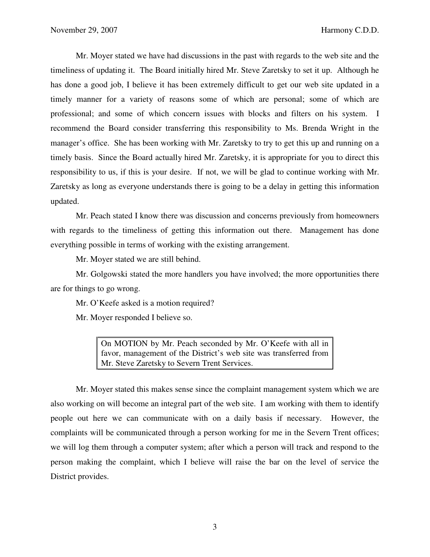Mr. Moyer stated we have had discussions in the past with regards to the web site and the timeliness of updating it. The Board initially hired Mr. Steve Zaretsky to set it up. Although he has done a good job, I believe it has been extremely difficult to get our web site updated in a timely manner for a variety of reasons some of which are personal; some of which are professional; and some of which concern issues with blocks and filters on his system. I recommend the Board consider transferring this responsibility to Ms. Brenda Wright in the manager's office. She has been working with Mr. Zaretsky to try to get this up and running on a timely basis. Since the Board actually hired Mr. Zaretsky, it is appropriate for you to direct this responsibility to us, if this is your desire. If not, we will be glad to continue working with Mr. Zaretsky as long as everyone understands there is going to be a delay in getting this information updated.

 Mr. Peach stated I know there was discussion and concerns previously from homeowners with regards to the timeliness of getting this information out there. Management has done everything possible in terms of working with the existing arrangement.

Mr. Moyer stated we are still behind.

 Mr. Golgowski stated the more handlers you have involved; the more opportunities there are for things to go wrong.

Mr. O'Keefe asked is a motion required?

Mr. Moyer responded I believe so.

On MOTION by Mr. Peach seconded by Mr. O'Keefe with all in favor, management of the District's web site was transferred from Mr. Steve Zaretsky to Severn Trent Services.

 Mr. Moyer stated this makes sense since the complaint management system which we are also working on will become an integral part of the web site. I am working with them to identify people out here we can communicate with on a daily basis if necessary. However, the complaints will be communicated through a person working for me in the Severn Trent offices; we will log them through a computer system; after which a person will track and respond to the person making the complaint, which I believe will raise the bar on the level of service the District provides.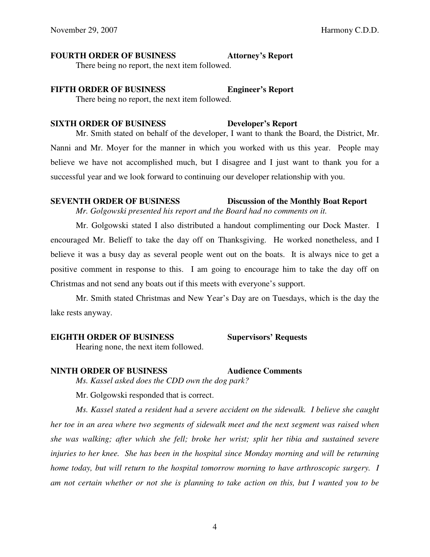# **FOURTH ORDER OF BUSINESS Attorney's Report**

There being no report, the next item followed.

# **FIFTH ORDER OF BUSINESS Engineer's Report**

There being no report, the next item followed.

### **SIXTH ORDER OF BUSINESS Developer's Report**

 Mr. Smith stated on behalf of the developer, I want to thank the Board, the District, Mr. Nanni and Mr. Moyer for the manner in which you worked with us this year. People may believe we have not accomplished much, but I disagree and I just want to thank you for a successful year and we look forward to continuing our developer relationship with you.

**SEVENTH ORDER OF BUSINESS Discussion of the Monthly Boat Report** 

*Mr. Golgowski presented his report and the Board had no comments on it.* 

 Mr. Golgowski stated I also distributed a handout complimenting our Dock Master. I encouraged Mr. Belieff to take the day off on Thanksgiving. He worked nonetheless, and I believe it was a busy day as several people went out on the boats. It is always nice to get a positive comment in response to this. I am going to encourage him to take the day off on Christmas and not send any boats out if this meets with everyone's support.

 Mr. Smith stated Christmas and New Year's Day are on Tuesdays, which is the day the lake rests anyway.

# **EIGHTH ORDER OF BUSINESS Supervisors' Requests**

Hearing none, the next item followed.

# **NINTH ORDER OF BUSINESS Audience Comments**

*Ms. Kassel asked does the CDD own the dog park?* 

Mr. Golgowski responded that is correct.

 *Ms. Kassel stated a resident had a severe accident on the sidewalk. I believe she caught her toe in an area where two segments of sidewalk meet and the next segment was raised when she was walking; after which she fell; broke her wrist; split her tibia and sustained severe injuries to her knee. She has been in the hospital since Monday morning and will be returning home today, but will return to the hospital tomorrow morning to have arthroscopic surgery.* I *am not certain whether or not she is planning to take action on this, but I wanted you to be*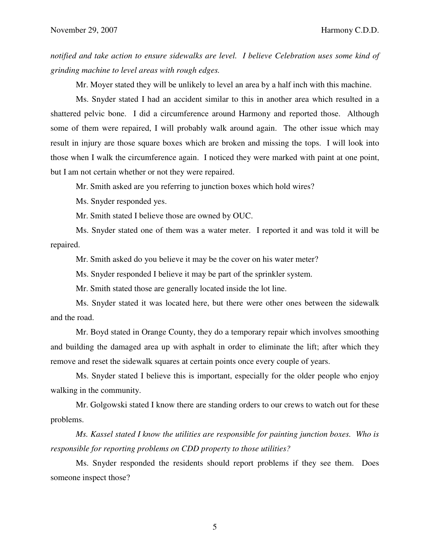*notified and take action to ensure sidewalks are level. I believe Celebration uses some kind of grinding machine to level areas with rough edges.* 

Mr. Moyer stated they will be unlikely to level an area by a half inch with this machine.

 Ms. Snyder stated I had an accident similar to this in another area which resulted in a shattered pelvic bone. I did a circumference around Harmony and reported those. Although some of them were repaired, I will probably walk around again. The other issue which may result in injury are those square boxes which are broken and missing the tops. I will look into those when I walk the circumference again. I noticed they were marked with paint at one point, but I am not certain whether or not they were repaired.

Mr. Smith asked are you referring to junction boxes which hold wires?

Ms. Snyder responded yes.

Mr. Smith stated I believe those are owned by OUC.

 Ms. Snyder stated one of them was a water meter. I reported it and was told it will be repaired.

Mr. Smith asked do you believe it may be the cover on his water meter?

Ms. Snyder responded I believe it may be part of the sprinkler system.

Mr. Smith stated those are generally located inside the lot line.

 Ms. Snyder stated it was located here, but there were other ones between the sidewalk and the road.

 Mr. Boyd stated in Orange County, they do a temporary repair which involves smoothing and building the damaged area up with asphalt in order to eliminate the lift; after which they remove and reset the sidewalk squares at certain points once every couple of years.

 Ms. Snyder stated I believe this is important, especially for the older people who enjoy walking in the community.

 Mr. Golgowski stated I know there are standing orders to our crews to watch out for these problems.

 *Ms. Kassel stated I know the utilities are responsible for painting junction boxes. Who is responsible for reporting problems on CDD property to those utilities?* 

 Ms. Snyder responded the residents should report problems if they see them. Does someone inspect those?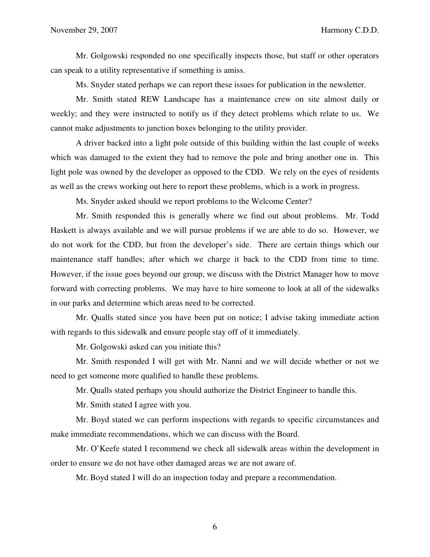Mr. Golgowski responded no one specifically inspects those, but staff or other operators can speak to a utility representative if something is amiss.

Ms. Snyder stated perhaps we can report these issues for publication in the newsletter.

 Mr. Smith stated REW Landscape has a maintenance crew on site almost daily or weekly; and they were instructed to notify us if they detect problems which relate to us. We cannot make adjustments to junction boxes belonging to the utility provider.

A driver backed into a light pole outside of this building within the last couple of weeks which was damaged to the extent they had to remove the pole and bring another one in. This light pole was owned by the developer as opposed to the CDD. We rely on the eyes of residents as well as the crews working out here to report these problems, which is a work in progress.

Ms. Snyder asked should we report problems to the Welcome Center?

 Mr. Smith responded this is generally where we find out about problems. Mr. Todd Haskett is always available and we will pursue problems if we are able to do so. However, we do not work for the CDD, but from the developer's side. There are certain things which our maintenance staff handles; after which we charge it back to the CDD from time to time. However, if the issue goes beyond our group, we discuss with the District Manager how to move forward with correcting problems. We may have to hire someone to look at all of the sidewalks in our parks and determine which areas need to be corrected.

 Mr. Qualls stated since you have been put on notice; I advise taking immediate action with regards to this sidewalk and ensure people stay off of it immediately.

Mr. Golgowski asked can you initiate this?

 Mr. Smith responded I will get with Mr. Nanni and we will decide whether or not we need to get someone more qualified to handle these problems.

Mr. Qualls stated perhaps you should authorize the District Engineer to handle this.

Mr. Smith stated I agree with you.

 Mr. Boyd stated we can perform inspections with regards to specific circumstances and make immediate recommendations, which we can discuss with the Board.

 Mr. O'Keefe stated I recommend we check all sidewalk areas within the development in order to ensure we do not have other damaged areas we are not aware of.

Mr. Boyd stated I will do an inspection today and prepare a recommendation.

6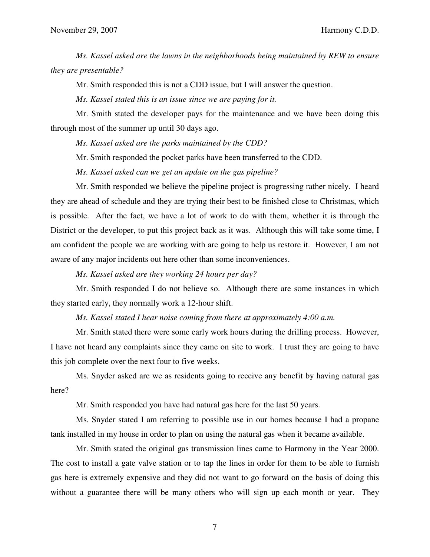*Ms. Kassel asked are the lawns in the neighborhoods being maintained by REW to ensure they are presentable?* 

Mr. Smith responded this is not a CDD issue, but I will answer the question.

*Ms. Kassel stated this is an issue since we are paying for it.* 

 Mr. Smith stated the developer pays for the maintenance and we have been doing this through most of the summer up until 30 days ago.

 *Ms. Kassel asked are the parks maintained by the CDD?* 

Mr. Smith responded the pocket parks have been transferred to the CDD.

*Ms. Kassel asked can we get an update on the gas pipeline?*

 Mr. Smith responded we believe the pipeline project is progressing rather nicely. I heard they are ahead of schedule and they are trying their best to be finished close to Christmas, which is possible. After the fact, we have a lot of work to do with them, whether it is through the District or the developer, to put this project back as it was. Although this will take some time, I am confident the people we are working with are going to help us restore it. However, I am not aware of any major incidents out here other than some inconveniences.

 *Ms. Kassel asked are they working 24 hours per day?* 

 Mr. Smith responded I do not believe so. Although there are some instances in which they started early, they normally work a 12-hour shift.

 *Ms. Kassel stated I hear noise coming from there at approximately 4:00 a.m.* 

 Mr. Smith stated there were some early work hours during the drilling process. However, I have not heard any complaints since they came on site to work. I trust they are going to have this job complete over the next four to five weeks.

 Ms. Snyder asked are we as residents going to receive any benefit by having natural gas here?

Mr. Smith responded you have had natural gas here for the last 50 years.

 Ms. Snyder stated I am referring to possible use in our homes because I had a propane tank installed in my house in order to plan on using the natural gas when it became available.

 Mr. Smith stated the original gas transmission lines came to Harmony in the Year 2000. The cost to install a gate valve station or to tap the lines in order for them to be able to furnish gas here is extremely expensive and they did not want to go forward on the basis of doing this without a guarantee there will be many others who will sign up each month or year. They

7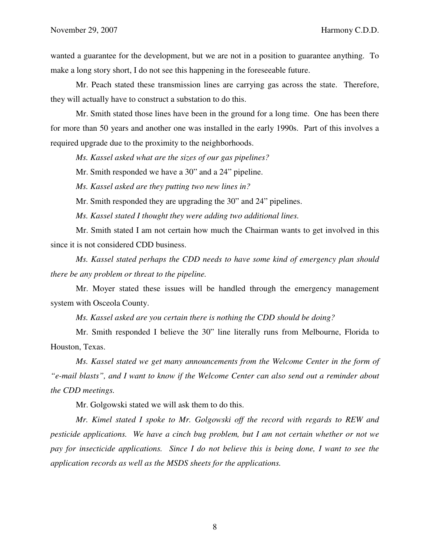wanted a guarantee for the development, but we are not in a position to guarantee anything. To make a long story short, I do not see this happening in the foreseeable future.

 Mr. Peach stated these transmission lines are carrying gas across the state. Therefore, they will actually have to construct a substation to do this.

 Mr. Smith stated those lines have been in the ground for a long time. One has been there for more than 50 years and another one was installed in the early 1990s. Part of this involves a required upgrade due to the proximity to the neighborhoods.

 *Ms. Kassel asked what are the sizes of our gas pipelines?* 

Mr. Smith responded we have a 30" and a 24" pipeline.

*Ms. Kassel asked are they putting two new lines in?* 

Mr. Smith responded they are upgrading the 30" and 24" pipelines.

 *Ms. Kassel stated I thought they were adding two additional lines.* 

 Mr. Smith stated I am not certain how much the Chairman wants to get involved in this since it is not considered CDD business.

*Ms. Kassel stated perhaps the CDD needs to have some kind of emergency plan should there be any problem or threat to the pipeline.* 

 Mr. Moyer stated these issues will be handled through the emergency management system with Osceola County.

 *Ms. Kassel asked are you certain there is nothing the CDD should be doing?* 

 Mr. Smith responded I believe the 30" line literally runs from Melbourne, Florida to Houston, Texas.

*Ms. Kassel stated we get many announcements from the Welcome Center in the form of "e-mail blasts", and I want to know if the Welcome Center can also send out a reminder about the CDD meetings.* 

Mr. Golgowski stated we will ask them to do this.

 *Mr. Kimel stated I spoke to Mr. Golgowski off the record with regards to REW and pesticide applications. We have a cinch bug problem, but I am not certain whether or not we pay for insecticide applications. Since I do not believe this is being done, I want to see the application records as well as the MSDS sheets for the applications.* 

8